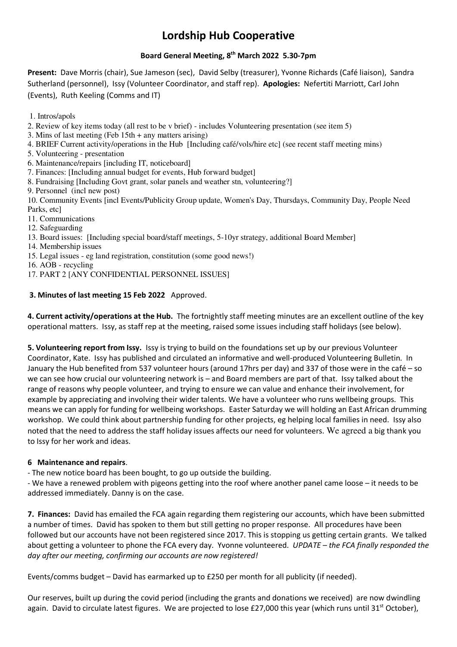# **Lordship Hub Cooperative**

## **Board General Meeting, 8th March 2022 5.30-7pm**

**Present:** Dave Morris (chair), Sue Jameson (sec), David Selby (treasurer), Yvonne Richards (Café liaison), Sandra Sutherland (personnel), Issy (Volunteer Coordinator, and staff rep). **Apologies:** Nefertiti Marriott, Carl John (Events), Ruth Keeling (Comms and IT)

- 1. Intros/apols
- 2. Review of key items today (all rest to be v brief) includes Volunteering presentation (see item 5)
- 3. Mins of last meeting (Feb 15th + any matters arising)
- 4. BRIEF Current activity/operations in the Hub [Including café/vols/hire etc] (see recent staff meeting mins)
- 5. Volunteering presentation
- 6. Maintenance/repairs [including IT, noticeboard]
- 7. Finances: [Including annual budget for events, Hub forward budget]
- 8. Fundraising [Including Govt grant, solar panels and weather stn, volunteering?]
- 9. Personnel (incl new post)

10. Community Events [incl Events/Publicity Group update, Women's Day, Thursdays, Community Day, People Need Parks, etc]

- 11. Communications
- 12. Safeguarding
- 13. Board issues: [Including special board/staff meetings, 5-10yr strategy, additional Board Member]
- 14. Membership issues
- 15. Legal issues eg land registration, constitution (some good news!)
- 16. AOB recycling
- 17. PART 2 [ANY CONFIDENTIAL PERSONNEL ISSUES]

### **3. Minutes of last meeting 15 Feb 2022** Approved.

**4. Current activity/operations at the Hub.** The fortnightly staff meeting minutes are an excellent outline of the key operational matters. Issy, as staff rep at the meeting, raised some issues including staff holidays (see below).

**5. Volunteering report from Issy.** Issy is trying to build on the foundations set up by our previous Volunteer Coordinator, Kate. Issy has published and circulated an informative and well-produced Volunteering Bulletin. In January the Hub benefited from 537 volunteer hours (around 17hrs per day) and 337 of those were in the café – so we can see how crucial our volunteering network is – and Board members are part of that. Issy talked about the range of reasons why people volunteer, and trying to ensure we can value and enhance their involvement, for example by appreciating and involving their wider talents. We have a volunteer who runs wellbeing groups. This means we can apply for funding for wellbeing workshops. Easter Saturday we will holding an East African drumming workshop. We could think about partnership funding for other projects, eg helping local families in need. Issy also noted that the need to address the staff holiday issues affects our need for volunteers. We agreed a big thank you to Issy for her work and ideas.

### **6 Maintenance and repairs**.

- The new notice board has been bought, to go up outside the building.

- We have a renewed problem with pigeons getting into the roof where another panel came loose – it needs to be addressed immediately. Danny is on the case.

**7. Finances:** David has emailed the FCA again regarding them registering our accounts, which have been submitted a number of times. David has spoken to them but still getting no proper response. All procedures have been followed but our accounts have not been registered since 2017. This is stopping us getting certain grants. We talked about getting a volunteer to phone the FCA every day. Yvonne volunteered. *UPDATE – the FCA finally responded the day after our meeting, confirming our accounts are now registered!*

Events/comms budget – David has earmarked up to £250 per month for all publicity (if needed).

Our reserves, built up during the covid period (including the grants and donations we received) are now dwindling again. David to circulate latest figures. We are projected to lose £27,000 this year (which runs until 31<sup>st</sup> October),